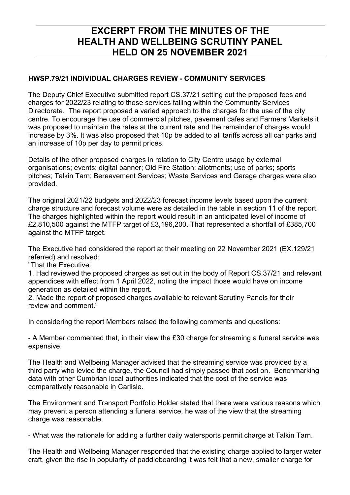# EXCERPT FROM THE MINUTES OF THE HEALTH AND WELLBEING SCRUTINY PANEL HELD ON 25 NOVEMBER 2021

### HWSP.79/21 INDIVIDUAL CHARGES REVIEW - COMMUNITY SERVICES

The Deputy Chief Executive submitted report CS.37/21 setting out the proposed fees and charges for 2022/23 relating to those services falling within the Community Services Directorate. The report proposed a varied approach to the charges for the use of the city centre. To encourage the use of commercial pitches, pavement cafes and Farmers Markets it was proposed to maintain the rates at the current rate and the remainder of charges would increase by 3%. It was also proposed that 10p be added to all tariffs across all car parks and an increase of 10p per day to permit prices.

Details of the other proposed charges in relation to City Centre usage by external organisations; events; digital banner; Old Fire Station; allotments; use of parks; sports pitches; Talkin Tarn; Bereavement Services; Waste Services and Garage charges were also provided.

The original 2021/22 budgets and 2022/23 forecast income levels based upon the current charge structure and forecast volume were as detailed in the table in section 11 of the report. The charges highlighted within the report would result in an anticipated level of income of £2,810,500 against the MTFP target of £3,196,200. That represented a shortfall of £385,700 against the MTFP target.

The Executive had considered the report at their meeting on 22 November 2021 (EX.129/21 referred) and resolved:

"That the Executive:

1. Had reviewed the proposed charges as set out in the body of Report CS.37/21 and relevant appendices with effect from 1 April 2022, noting the impact those would have on income generation as detailed within the report.

2. Made the report of proposed charges available to relevant Scrutiny Panels for their review and comment."

In considering the report Members raised the following comments and questions:

- A Member commented that, in their view the £30 charge for streaming a funeral service was expensive.

The Health and Wellbeing Manager advised that the streaming service was provided by a third party who levied the charge, the Council had simply passed that cost on. Benchmarking data with other Cumbrian local authorities indicated that the cost of the service was comparatively reasonable in Carlisle.

The Environment and Transport Portfolio Holder stated that there were various reasons which may prevent a person attending a funeral service, he was of the view that the streaming charge was reasonable.

- What was the rationale for adding a further daily watersports permit charge at Talkin Tarn.

The Health and Wellbeing Manager responded that the existing charge applied to larger water craft, given the rise in popularity of paddleboarding it was felt that a new, smaller charge for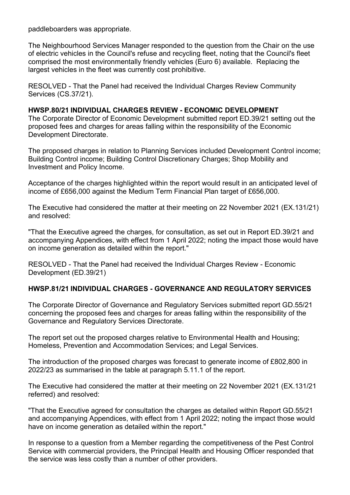paddleboarders was appropriate.

The Neighbourhood Services Manager responded to the question from the Chair on the use of electric vehicles in the Council's refuse and recycling fleet, noting that the Council's fleet comprised the most environmentally friendly vehicles (Euro 6) available. Replacing the largest vehicles in the fleet was currently cost prohibitive.

RESOLVED - That the Panel had received the Individual Charges Review Community Services (CS.37/21).

#### HWSP.80/21 INDIVIDUAL CHARGES REVIEW - ECONOMIC DEVELOPMENT

The Corporate Director of Economic Development submitted report ED.39/21 setting out the proposed fees and charges for areas falling within the responsibility of the Economic Development Directorate.

The proposed charges in relation to Planning Services included Development Control income; Building Control income; Building Control Discretionary Charges; Shop Mobility and Investment and Policy Income.

Acceptance of the charges highlighted within the report would result in an anticipated level of income of £656,000 against the Medium Term Financial Plan target of £656,000.

The Executive had considered the matter at their meeting on 22 November 2021 (EX.131/21) and resolved:

"That the Executive agreed the charges, for consultation, as set out in Report ED.39/21 and accompanying Appendices, with effect from 1 April 2022; noting the impact those would have on income generation as detailed within the report."

RESOLVED - That the Panel had received the Individual Charges Review - Economic Development (ED.39/21)

#### HWSP.81/21 INDIVIDUAL CHARGES - GOVERNANCE AND REGULATORY SERVICES

The Corporate Director of Governance and Regulatory Services submitted report GD.55/21 concerning the proposed fees and charges for areas falling within the responsibility of the Governance and Regulatory Services Directorate.

The report set out the proposed charges relative to Environmental Health and Housing; Homeless, Prevention and Accommodation Services; and Legal Services.

The introduction of the proposed charges was forecast to generate income of £802,800 in 2022/23 as summarised in the table at paragraph 5.11.1 of the report.

The Executive had considered the matter at their meeting on 22 November 2021 (EX.131/21 referred) and resolved:

"That the Executive agreed for consultation the charges as detailed within Report GD.55/21 and accompanying Appendices, with effect from 1 April 2022; noting the impact those would have on income generation as detailed within the report."

In response to a question from a Member regarding the competitiveness of the Pest Control Service with commercial providers, the Principal Health and Housing Officer responded that the service was less costly than a number of other providers.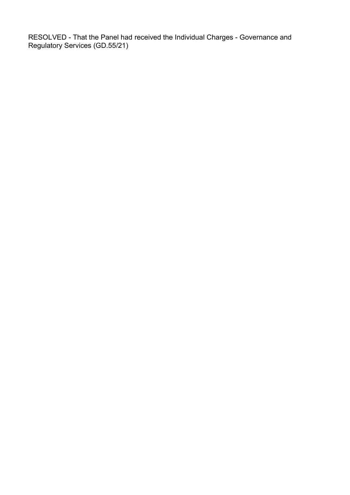RESOLVED - That the Panel had received the Individual Charges - Governance and Regulatory Services (GD.55/21)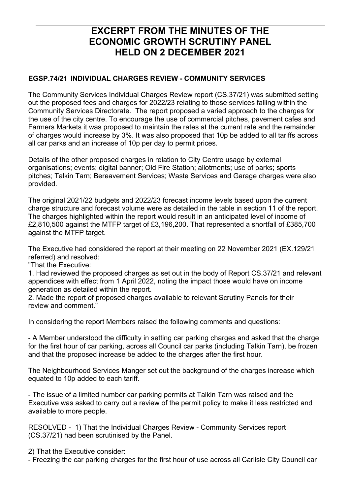# **EXCERPT FROM THE MINUTES OF THE ECONOMIC GROWTH SCRUTINY PANEL HELD ON 2 DECEMBER 2021**

### **EGSP.74/21 INDIVIDUAL CHARGES REVIEW - COMMUNITY SERVICES**

The Community Services Individual Charges Review report (CS.37/21) was submitted setting out the proposed fees and charges for 2022/23 relating to those services falling within the Community Services Directorate. The report proposed a varied approach to the charges for the use of the city centre. To encourage the use of commercial pitches, pavement cafes and Farmers Markets it was proposed to maintain the rates at the current rate and the remainder of charges would increase by 3%. It was also proposed that 10p be added to all tariffs across all car parks and an increase of 10p per day to permit prices.

Details of the other proposed charges in relation to City Centre usage by external organisations; events; digital banner; Old Fire Station; allotments; use of parks; sports pitches; Talkin Tarn; Bereavement Services; Waste Services and Garage charges were also provided.

The original 2021/22 budgets and 2022/23 forecast income levels based upon the current charge structure and forecast volume were as detailed in the table in section 11 of the report. The charges highlighted within the report would result in an anticipated level of income of £2,810,500 against the MTFP target of £3,196,200. That represented a shortfall of £385,700 against the MTFP target.

The Executive had considered the report at their meeting on 22 November 2021 (EX.129/21 referred) and resolved:

"That the Executive:

1. Had reviewed the proposed charges as set out in the body of Report CS.37/21 and relevant appendices with effect from 1 April 2022, noting the impact those would have on income generation as detailed within the report.

2. Made the report of proposed charges available to relevant Scrutiny Panels for their review and comment."

In considering the report Members raised the following comments and questions:

- A Member understood the difficulty in setting car parking charges and asked that the charge for the first hour of car parking, across all Council car parks (including Talkin Tarn), be frozen and that the proposed increase be added to the charges after the first hour.

The Neighbourhood Services Manger set out the background of the charges increase which equated to 10p added to each tariff.

- The issue of a limited number car parking permits at Talkin Tarn was raised and the Executive was asked to carry out a review of the permit policy to make it less restricted and available to more people.

RESOLVED - 1) That the Individual Charges Review - Community Services report (CS.37/21) had been scrutinised by the Panel.

2) That the Executive consider:

- Freezing the car parking charges for the first hour of use across all Carlisle City Council car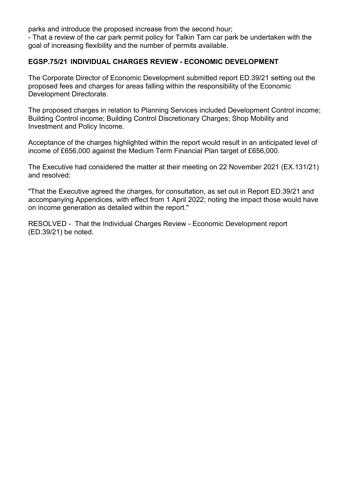parks and introduce the proposed increase from the second hour;

- That a review of the car park permit policy for Talkin Tarn car park be undertaken with the goal of increasing flexibility and the number of permits available.

#### **EGSP.75/21 INDIVIDUAL CHARGES REVIEW - ECONOMIC DEVELOPMENT**

The Corporate Director of Economic Development submitted report ED.39/21 setting out the proposed fees and charges for areas falling within the responsibility of the Economic Development Directorate.

The proposed charges in relation to Planning Services included Development Control income; Building Control income; Building Control Discretionary Charges; Shop Mobility and Investment and Policy Income.

Acceptance of the charges highlighted within the report would result in an anticipated level of income of £656,000 against the Medium Term Financial Plan target of £656,000.

The Executive had considered the matter at their meeting on 22 November 2021 (EX.131/21) and resolved:

"That the Executive agreed the charges, for consultation, as set out in Report ED.39/21 and accompanying Appendices, with effect from 1 April 2022; noting the impact those would have on income generation as detailed within the report."

RESOLVED - That the Individual Charges Review - Economic Development report (ED.39/21) be noted.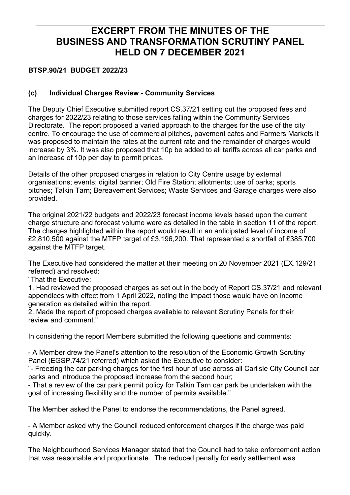# **EXCERPT FROM THE MINUTES OF THE BUSINESS AND TRANSFORMATION SCRUTINY PANEL HELD ON 7 DECEMBER 2021**

### **BTSP.90/21 BUDGET 2022/23**

### **(c) Individual Charges Review - Community Services**

The Deputy Chief Executive submitted report CS.37/21 setting out the proposed fees and charges for 2022/23 relating to those services falling within the Community Services Directorate. The report proposed a varied approach to the charges for the use of the city centre. To encourage the use of commercial pitches, pavement cafes and Farmers Markets it was proposed to maintain the rates at the current rate and the remainder of charges would increase by 3%. It was also proposed that 10p be added to all tariffs across all car parks and an increase of 10p per day to permit prices.

Details of the other proposed charges in relation to City Centre usage by external organisations; events; digital banner; Old Fire Station; allotments; use of parks; sports pitches; Talkin Tarn; Bereavement Services; Waste Services and Garage charges were also provided.

The original 2021/22 budgets and 2022/23 forecast income levels based upon the current charge structure and forecast volume were as detailed in the table in section 11 of the report. The charges highlighted within the report would result in an anticipated level of income of £2,810,500 against the MTFP target of £3,196,200. That represented a shortfall of £385,700 against the MTFP target.

The Executive had considered the matter at their meeting on 20 November 2021 (EX.129/21 referred) and resolved:

"That the Executive:

1. Had reviewed the proposed charges as set out in the body of Report CS.37/21 and relevant appendices with effect from 1 April 2022, noting the impact those would have on income generation as detailed within the report.

2. Made the report of proposed charges available to relevant Scrutiny Panels for their review and comment."

In considering the report Members submitted the following questions and comments:

- A Member drew the Panel's attention to the resolution of the Economic Growth Scrutiny Panel (EGSP.74/21 referred) which asked the Executive to consider:

"- Freezing the car parking charges for the first hour of use across all Carlisle City Council car parks and introduce the proposed increase from the second hour;

- That a review of the car park permit policy for Talkin Tarn car park be undertaken with the goal of increasing flexibility and the number of permits available."

The Member asked the Panel to endorse the recommendations, the Panel agreed.

- A Member asked why the Council reduced enforcement charges if the charge was paid quickly.

The Neighbourhood Services Manager stated that the Council had to take enforcement action that was reasonable and proportionate. The reduced penalty for early settlement was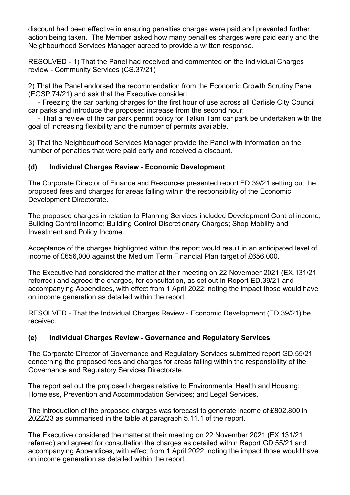discount had been effective in ensuring penalties charges were paid and prevented further action being taken. The Member asked how many penalties charges were paid early and the Neighbourhood Services Manager agreed to provide a written response.

RESOLVED - 1) That the Panel had received and commented on the Individual Charges review - Community Services (CS.37/21)

2) That the Panel endorsed the recommendation from the Economic Growth Scrutiny Panel (EGSP.74/21) and ask that the Executive consider:

 - Freezing the car parking charges for the first hour of use across all Carlisle City Council car parks and introduce the proposed increase from the second hour;

 - That a review of the car park permit policy for Talkin Tarn car park be undertaken with the goal of increasing flexibility and the number of permits available.

3) That the Neighbourhood Services Manager provide the Panel with information on the number of penalties that were paid early and received a discount.

### **(d) Individual Charges Review - Economic Development**

The Corporate Director of Finance and Resources presented report ED.39/21 setting out the proposed fees and charges for areas falling within the responsibility of the Economic Development Directorate.

The proposed charges in relation to Planning Services included Development Control income; Building Control income; Building Control Discretionary Charges; Shop Mobility and Investment and Policy Income.

Acceptance of the charges highlighted within the report would result in an anticipated level of income of £656,000 against the Medium Term Financial Plan target of £656,000.

The Executive had considered the matter at their meeting on 22 November 2021 (EX.131/21 referred) and agreed the charges, for consultation, as set out in Report ED.39/21 and accompanying Appendices, with effect from 1 April 2022; noting the impact those would have on income generation as detailed within the report.

RESOLVED - That the Individual Charges Review - Economic Development (ED.39/21) be received.

## **(e) Individual Charges Review - Governance and Regulatory Services**

The Corporate Director of Governance and Regulatory Services submitted report GD.55/21 concerning the proposed fees and charges for areas falling within the responsibility of the Governance and Regulatory Services Directorate.

The report set out the proposed charges relative to Environmental Health and Housing; Homeless, Prevention and Accommodation Services; and Legal Services.

The introduction of the proposed charges was forecast to generate income of £802,800 in 2022/23 as summarised in the table at paragraph 5.11.1 of the report.

The Executive considered the matter at their meeting on 22 November 2021 (EX.131/21 referred) and agreed for consultation the charges as detailed within Report GD.55/21 and accompanying Appendices, with effect from 1 April 2022; noting the impact those would have on income generation as detailed within the report.